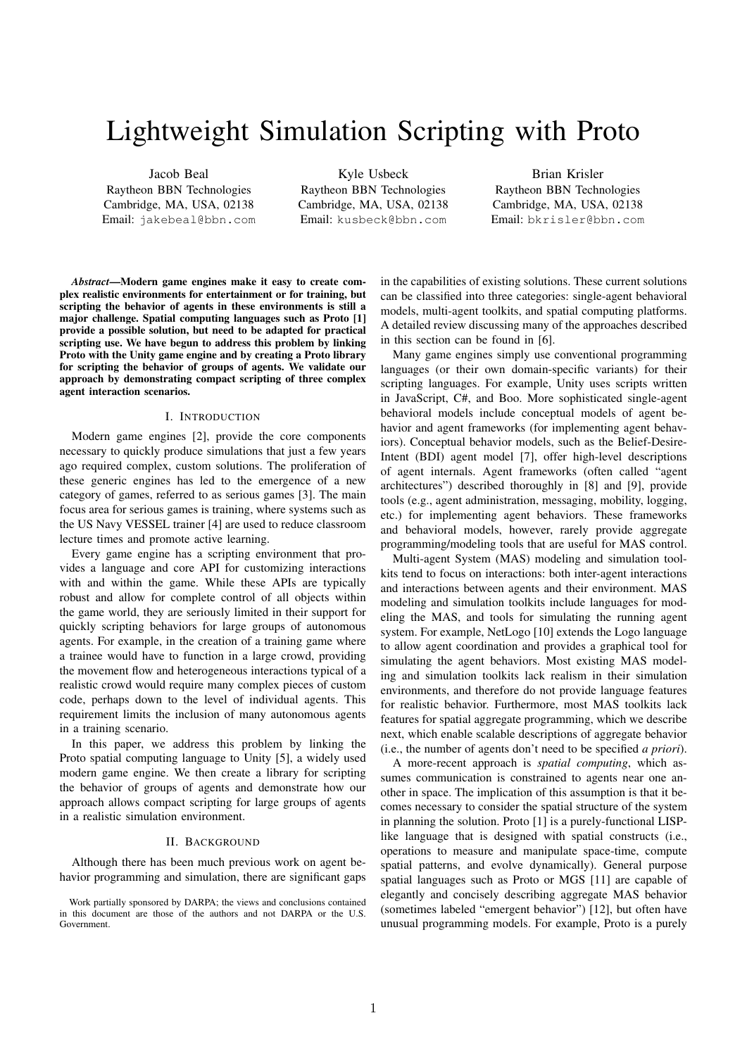# Lightweight Simulation Scripting with Proto

Jacob Beal Raytheon BBN Technologies Cambridge, MA, USA, 02138 Email: jakebeal@bbn.com

Kyle Usbeck Raytheon BBN Technologies Cambridge, MA, USA, 02138 Email: kusbeck@bbn.com

Brian Krisler Raytheon BBN Technologies Cambridge, MA, USA, 02138 Email: bkrisler@bbn.com

*Abstract*—Modern game engines make it easy to create complex realistic environments for entertainment or for training, but scripting the behavior of agents in these environments is still a major challenge. Spatial computing languages such as Proto [1] provide a possible solution, but need to be adapted for practical scripting use. We have begun to address this problem by linking Proto with the Unity game engine and by creating a Proto library for scripting the behavior of groups of agents. We validate our approach by demonstrating compact scripting of three complex agent interaction scenarios.

## I. INTRODUCTION

Modern game engines [2], provide the core components necessary to quickly produce simulations that just a few years ago required complex, custom solutions. The proliferation of these generic engines has led to the emergence of a new category of games, referred to as serious games [3]. The main focus area for serious games is training, where systems such as the US Navy VESSEL trainer [4] are used to reduce classroom lecture times and promote active learning.

Every game engine has a scripting environment that provides a language and core API for customizing interactions with and within the game. While these APIs are typically robust and allow for complete control of all objects within the game world, they are seriously limited in their support for quickly scripting behaviors for large groups of autonomous agents. For example, in the creation of a training game where a trainee would have to function in a large crowd, providing the movement flow and heterogeneous interactions typical of a realistic crowd would require many complex pieces of custom code, perhaps down to the level of individual agents. This requirement limits the inclusion of many autonomous agents in a training scenario.

In this paper, we address this problem by linking the Proto spatial computing language to Unity [5], a widely used modern game engine. We then create a library for scripting the behavior of groups of agents and demonstrate how our approach allows compact scripting for large groups of agents in a realistic simulation environment.

#### II. BACKGROUND

Although there has been much previous work on agent behavior programming and simulation, there are significant gaps

Work partially sponsored by DARPA; the views and conclusions contained in this document are those of the authors and not DARPA or the U.S. Government.

in the capabilities of existing solutions. These current solutions can be classified into three categories: single-agent behavioral models, multi-agent toolkits, and spatial computing platforms. A detailed review discussing many of the approaches described in this section can be found in [6].

Many game engines simply use conventional programming languages (or their own domain-specific variants) for their scripting languages. For example, Unity uses scripts written in JavaScript, C#, and Boo. More sophisticated single-agent behavioral models include conceptual models of agent behavior and agent frameworks (for implementing agent behaviors). Conceptual behavior models, such as the Belief-Desire-Intent (BDI) agent model [7], offer high-level descriptions of agent internals. Agent frameworks (often called "agent architectures") described thoroughly in [8] and [9], provide tools (e.g., agent administration, messaging, mobility, logging, etc.) for implementing agent behaviors. These frameworks and behavioral models, however, rarely provide aggregate programming/modeling tools that are useful for MAS control.

Multi-agent System (MAS) modeling and simulation toolkits tend to focus on interactions: both inter-agent interactions and interactions between agents and their environment. MAS modeling and simulation toolkits include languages for modeling the MAS, and tools for simulating the running agent system. For example, NetLogo [10] extends the Logo language to allow agent coordination and provides a graphical tool for simulating the agent behaviors. Most existing MAS modeling and simulation toolkits lack realism in their simulation environments, and therefore do not provide language features for realistic behavior. Furthermore, most MAS toolkits lack features for spatial aggregate programming, which we describe next, which enable scalable descriptions of aggregate behavior (i.e., the number of agents don't need to be specified *a priori*).

A more-recent approach is *spatial computing*, which assumes communication is constrained to agents near one another in space. The implication of this assumption is that it becomes necessary to consider the spatial structure of the system in planning the solution. Proto [1] is a purely-functional LISPlike language that is designed with spatial constructs (i.e., operations to measure and manipulate space-time, compute spatial patterns, and evolve dynamically). General purpose spatial languages such as Proto or MGS [11] are capable of elegantly and concisely describing aggregate MAS behavior (sometimes labeled "emergent behavior") [12], but often have unusual programming models. For example, Proto is a purely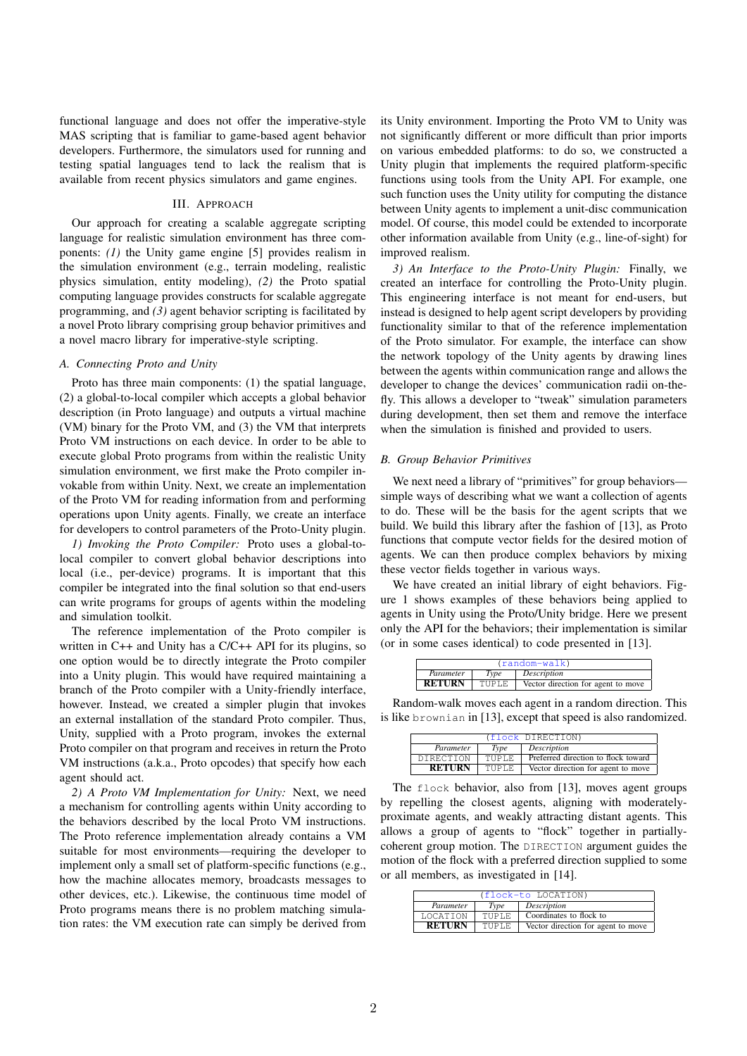functional language and does not offer the imperative-style MAS scripting that is familiar to game-based agent behavior developers. Furthermore, the simulators used for running and testing spatial languages tend to lack the realism that is available from recent physics simulators and game engines.

## III. APPROACH

Our approach for creating a scalable aggregate scripting language for realistic simulation environment has three components: *(1)* the Unity game engine [5] provides realism in the simulation environment (e.g., terrain modeling, realistic physics simulation, entity modeling), *(2)* the Proto spatial computing language provides constructs for scalable aggregate programming, and *(3)* agent behavior scripting is facilitated by a novel Proto library comprising group behavior primitives and a novel macro library for imperative-style scripting.

## *A. Connecting Proto and Unity*

Proto has three main components: (1) the spatial language, (2) a global-to-local compiler which accepts a global behavior description (in Proto language) and outputs a virtual machine (VM) binary for the Proto VM, and (3) the VM that interprets Proto VM instructions on each device. In order to be able to execute global Proto programs from within the realistic Unity simulation environment, we first make the Proto compiler invokable from within Unity. Next, we create an implementation of the Proto VM for reading information from and performing operations upon Unity agents. Finally, we create an interface for developers to control parameters of the Proto-Unity plugin.

*1) Invoking the Proto Compiler:* Proto uses a global-tolocal compiler to convert global behavior descriptions into local (i.e., per-device) programs. It is important that this compiler be integrated into the final solution so that end-users can write programs for groups of agents within the modeling and simulation toolkit.

The reference implementation of the Proto compiler is written in C++ and Unity has a C/C++ API for its plugins, so one option would be to directly integrate the Proto compiler into a Unity plugin. This would have required maintaining a branch of the Proto compiler with a Unity-friendly interface, however. Instead, we created a simpler plugin that invokes an external installation of the standard Proto compiler. Thus, Unity, supplied with a Proto program, invokes the external Proto compiler on that program and receives in return the Proto VM instructions (a.k.a., Proto opcodes) that specify how each agent should act.

*2) A Proto VM Implementation for Unity:* Next, we need a mechanism for controlling agents within Unity according to the behaviors described by the local Proto VM instructions. The Proto reference implementation already contains a VM suitable for most environments—requiring the developer to implement only a small set of platform-specific functions (e.g., how the machine allocates memory, broadcasts messages to other devices, etc.). Likewise, the continuous time model of Proto programs means there is no problem matching simulation rates: the VM execution rate can simply be derived from its Unity environment. Importing the Proto VM to Unity was not significantly different or more difficult than prior imports on various embedded platforms: to do so, we constructed a Unity plugin that implements the required platform-specific functions using tools from the Unity API. For example, one such function uses the Unity utility for computing the distance between Unity agents to implement a unit-disc communication model. Of course, this model could be extended to incorporate other information available from Unity (e.g., line-of-sight) for improved realism.

*3) An Interface to the Proto-Unity Plugin:* Finally, we created an interface for controlling the Proto-Unity plugin. This engineering interface is not meant for end-users, but instead is designed to help agent script developers by providing functionality similar to that of the reference implementation of the Proto simulator. For example, the interface can show the network topology of the Unity agents by drawing lines between the agents within communication range and allows the developer to change the devices' communication radii on-thefly. This allows a developer to "tweak" simulation parameters during development, then set them and remove the interface when the simulation is finished and provided to users.

#### *B. Group Behavior Primitives*

We next need a library of "primitives" for group behaviors simple ways of describing what we want a collection of agents to do. These will be the basis for the agent scripts that we build. We build this library after the fashion of [13], as Proto functions that compute vector fields for the desired motion of agents. We can then produce complex behaviors by mixing these vector fields together in various ways.

We have created an initial library of eight behaviors. Figure 1 shows examples of these behaviors being applied to agents in Unity using the Proto/Unity bridge. Here we present only the API for the behaviors; their implementation is similar (or in some cases identical) to code presented in [13].

| $(random-walk)$ |       |                                    |  |
|-----------------|-------|------------------------------------|--|
| Parameter       | Type  | Description                        |  |
| <b>RETURN</b>   | TUPLE | Vector direction for agent to move |  |

Random-walk moves each agent in a random direction. This is like brownian in [13], except that speed is also randomized.

|               |              | (flock DIRECTION)                   |
|---------------|--------------|-------------------------------------|
| Parameter     | Type         | Description                         |
| DIRECTION     | <b>TUPLE</b> | Preferred direction to flock toward |
| <b>RETURN</b> | <b>TUPLE</b> | Vector direction for agent to move  |

The flock behavior, also from [13], moves agent groups by repelling the closest agents, aligning with moderatelyproximate agents, and weakly attracting distant agents. This allows a group of agents to "flock" together in partiallycoherent group motion. The DIRECTION argument guides the motion of the flock with a preferred direction supplied to some or all members, as investigated in [14].

| (flock-to LOCATION) |        |                                    |
|---------------------|--------|------------------------------------|
| Parameter           | Type   | Description                        |
| <b>LOCATION</b>     | TUPLE. | Coordinates to flock to            |
| <b>RETURN</b>       | TUPLE. | Vector direction for agent to move |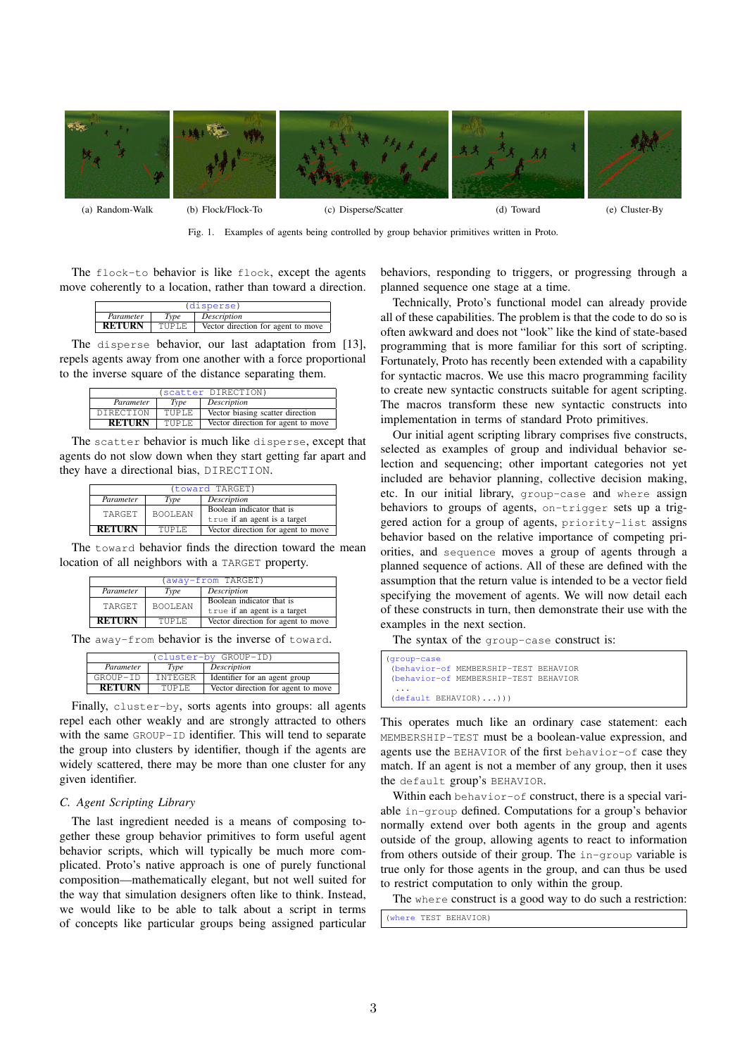

Fig. 1. Examples of agents being controlled by group behavior primitives written in Proto.

The flock-to behavior is like flock, except the agents move coherently to a location, rather than toward a direction.

| (disperse)    |              |                                    |  |
|---------------|--------------|------------------------------------|--|
| Parameter     | Type         | Description                        |  |
| <b>RETURN</b> | <b>TUPLE</b> | Vector direction for agent to move |  |

The disperse behavior, our last adaptation from [13], repels agents away from one another with a force proportional to the inverse square of the distance separating them.

| (scatter DIRECTION) |             |                                    |
|---------------------|-------------|------------------------------------|
| Parameter           | <b>Type</b> | Description                        |
| DIRECTION           | TUPLE.      | Vector biasing scatter direction   |
| <b>RETURN</b>       | TUPLE.      | Vector direction for agent to move |

The scatter behavior is much like disperse, except that agents do not slow down when they start getting far apart and they have a directional bias, DIRECTION.

| (toward TARGET) |                |                                    |  |
|-----------------|----------------|------------------------------------|--|
| Parameter       | Type           | Description                        |  |
| TARGET          | <b>BOOLEAN</b> | Boolean indicator that is          |  |
|                 |                | true if an agent is a target       |  |
| <b>RETURN</b>   | TUPLE.         | Vector direction for agent to move |  |

The toward behavior finds the direction toward the mean location of all neighbors with a TARGET property.

| (away-from TARGET) |                |                                    |
|--------------------|----------------|------------------------------------|
| Parameter          | Type           | Description                        |
| TARGET             | <b>BOOLEAN</b> | Boolean indicator that is          |
|                    |                | true if an agent is a target       |
| <b>RETURN</b>      | TUPLE.         | Vector direction for agent to move |

The away-from behavior is the inverse of toward.

| (cluster-by GROUP-ID) |                |                                    |  |
|-----------------------|----------------|------------------------------------|--|
| Parameter             | Type           | Description                        |  |
| GROUP-ID              | <b>INTEGER</b> | Identifier for an agent group      |  |
| <b>RETURN</b>         | TUPLE.         | Vector direction for agent to move |  |

Finally, cluster-by, sorts agents into groups: all agents repel each other weakly and are strongly attracted to others with the same GROUP-ID identifier. This will tend to separate the group into clusters by identifier, though if the agents are widely scattered, there may be more than one cluster for any given identifier.

# *C. Agent Scripting Library*

The last ingredient needed is a means of composing together these group behavior primitives to form useful agent behavior scripts, which will typically be much more complicated. Proto's native approach is one of purely functional composition—mathematically elegant, but not well suited for the way that simulation designers often like to think. Instead, we would like to be able to talk about a script in terms of concepts like particular groups being assigned particular

behaviors, responding to triggers, or progressing through a planned sequence one stage at a time.

Technically, Proto's functional model can already provide all of these capabilities. The problem is that the code to do so is often awkward and does not "look" like the kind of state-based programming that is more familiar for this sort of scripting. Fortunately, Proto has recently been extended with a capability for syntactic macros. We use this macro programming facility to create new syntactic constructs suitable for agent scripting. The macros transform these new syntactic constructs into implementation in terms of standard Proto primitives.

Our initial agent scripting library comprises five constructs, selected as examples of group and individual behavior selection and sequencing; other important categories not yet included are behavior planning, collective decision making, etc. In our initial library, group-case and where assign behaviors to groups of agents, on-trigger sets up a triggered action for a group of agents, priority-list assigns behavior based on the relative importance of competing priorities, and sequence moves a group of agents through a planned sequence of actions. All of these are defined with the assumption that the return value is intended to be a vector field specifying the movement of agents. We will now detail each of these constructs in turn, then demonstrate their use with the examples in the next section.

The syntax of the group-case construct is:

```
(group-case
 (behavior-of MEMBERSHIP-TEST BEHAVIOR
(behavior-of MEMBERSHIP-TEST BEHAVIOR
 ...
(default BEHAVIOR)...)))
```
This operates much like an ordinary case statement: each MEMBERSHIP-TEST must be a boolean-value expression, and agents use the BEHAVIOR of the first behavior-of case they match. If an agent is not a member of any group, then it uses the default group's BEHAVIOR.

Within each behavior-of construct, there is a special variable in-group defined. Computations for a group's behavior normally extend over both agents in the group and agents outside of the group, allowing agents to react to information from others outside of their group. The in-group variable is true only for those agents in the group, and can thus be used to restrict computation to only within the group.

The where construct is a good way to do such a restriction:

(where TEST BEHAVIOR)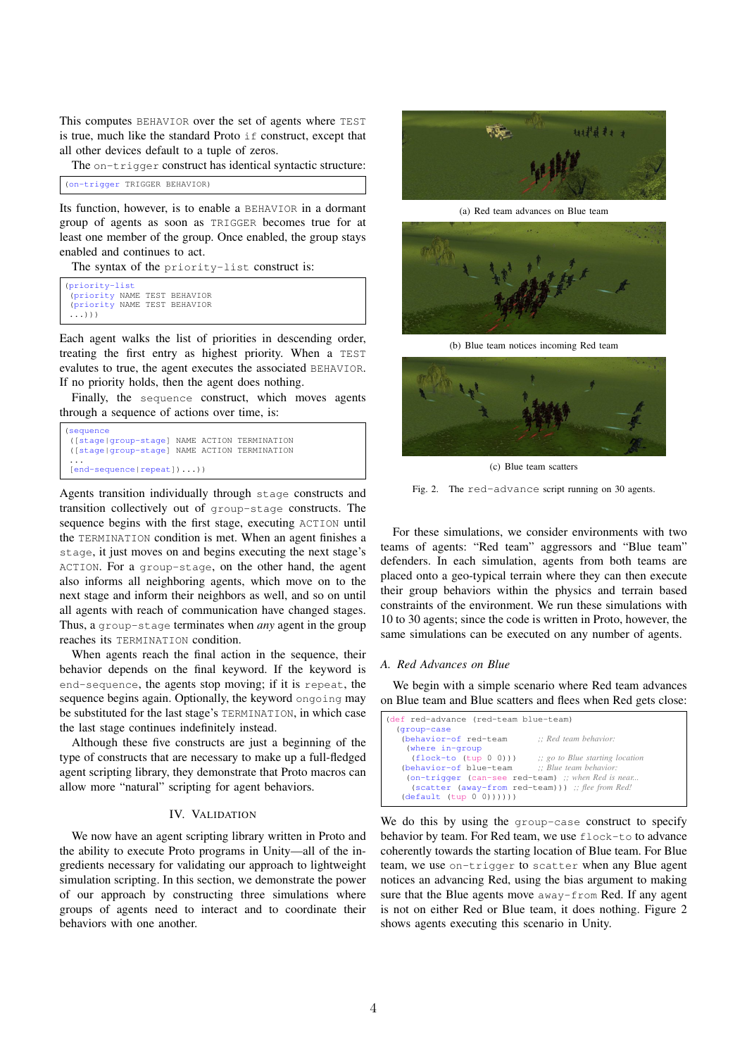This computes BEHAVIOR over the set of agents where TEST is true, much like the standard Proto if construct, except that all other devices default to a tuple of zeros.

The on-trigger construct has identical syntactic structure:

```
(on-trigger TRIGGER BEHAVIOR)
```
Its function, however, is to enable a BEHAVIOR in a dormant group of agents as soon as TRIGGER becomes true for at least one member of the group. Once enabled, the group stays enabled and continues to act.

The syntax of the priority-list construct is:

```
(priority-list
(priority NAME TEST BEHAVIOR
(priority NAME TEST BEHAVIOR
 ...)))
```
Each agent walks the list of priorities in descending order, treating the first entry as highest priority. When a TEST evalutes to true, the agent executes the associated BEHAVIOR. If no priority holds, then the agent does nothing.

Finally, the sequence construct, which moves agents through a sequence of actions over time, is:

```
(sequence
([stage|group-stage] NAME ACTION TERMINATION
([stage|group-stage] NAME ACTION TERMINATION
...
[end-sequence|repeat])...))
```
Agents transition individually through stage constructs and transition collectively out of group-stage constructs. The sequence begins with the first stage, executing ACTION until the TERMINATION condition is met. When an agent finishes a stage, it just moves on and begins executing the next stage's ACTION. For a group-stage, on the other hand, the agent also informs all neighboring agents, which move on to the next stage and inform their neighbors as well, and so on until all agents with reach of communication have changed stages. Thus, a group-stage terminates when *any* agent in the group reaches its TERMINATION condition.

When agents reach the final action in the sequence, their behavior depends on the final keyword. If the keyword is end-sequence, the agents stop moving; if it is repeat, the sequence begins again. Optionally, the keyword ongoing may be substituted for the last stage's TERMINATION, in which case the last stage continues indefinitely instead.

Although these five constructs are just a beginning of the type of constructs that are necessary to make up a full-fledged agent scripting library, they demonstrate that Proto macros can allow more "natural" scripting for agent behaviors.

## IV. VALIDATION

We now have an agent scripting library written in Proto and the ability to execute Proto programs in Unity—all of the ingredients necessary for validating our approach to lightweight simulation scripting. In this section, we demonstrate the power of our approach by constructing three simulations where groups of agents need to interact and to coordinate their behaviors with one another.



(a) Red team advances on Blue team



(b) Blue team notices incoming Red team



(c) Blue team scatters

Fig. 2. The red-advance script running on 30 agents.

For these simulations, we consider environments with two teams of agents: "Red team" aggressors and "Blue team" defenders. In each simulation, agents from both teams are placed onto a geo-typical terrain where they can then execute their group behaviors within the physics and terrain based constraints of the environment. We run these simulations with 10 to 30 agents; since the code is written in Proto, however, the same simulations can be executed on any number of agents.

## *A. Red Advances on Blue*

We begin with a simple scenario where Red team advances on Blue team and Blue scatters and flees when Red gets close:

| (def red-advance (red-team blue-team)                                |  |  |
|----------------------------------------------------------------------|--|--|
| (group-case                                                          |  |  |
| (behavior-of red-team<br>$\therefore$ Red team behavior:             |  |  |
| (where in-group                                                      |  |  |
| $(flock-to (tup 0 0)))$<br>$\therefore$ go to Blue starting location |  |  |
| (behavior-of blue-team :: Blue team behavior:                        |  |  |
| (on-trigger (can-see red-team) :; when Red is near                   |  |  |
| (scatter (away-from red-team))) ;; flee from Red!                    |  |  |
| (detault (tup 0 0))))                                                |  |  |
|                                                                      |  |  |

We do this by using the group-case construct to specify behavior by team. For Red team, we use flock-to to advance coherently towards the starting location of Blue team. For Blue team, we use on-trigger to scatter when any Blue agent notices an advancing Red, using the bias argument to making sure that the Blue agents move away-from Red. If any agent is not on either Red or Blue team, it does nothing. Figure 2 shows agents executing this scenario in Unity.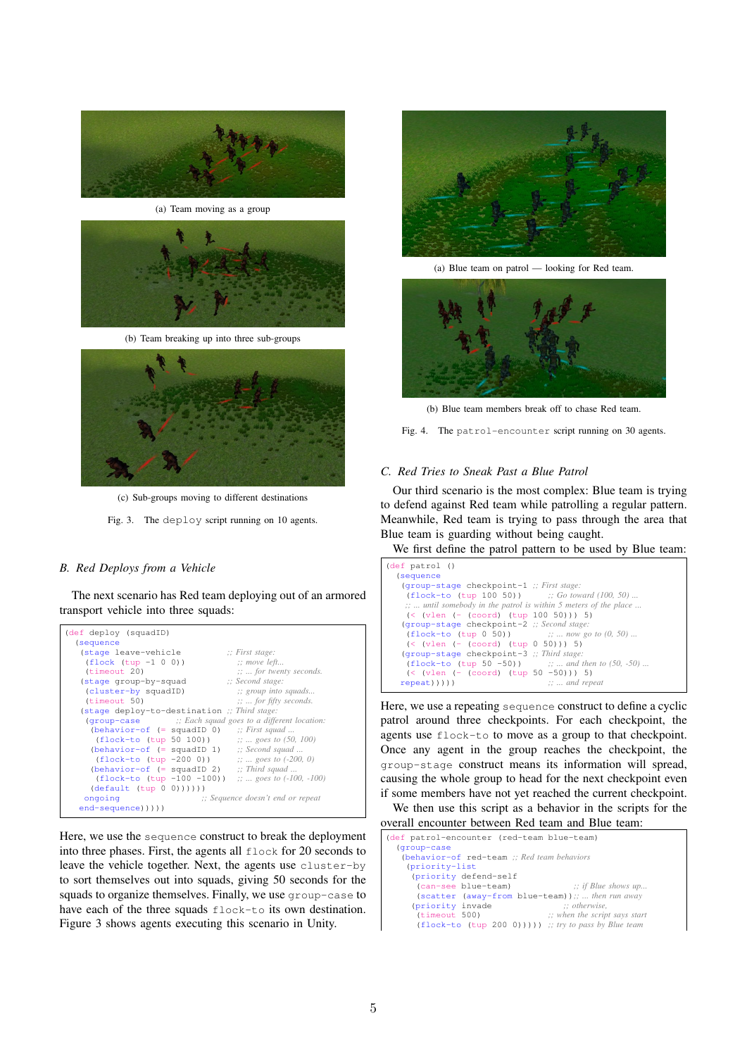

(a) Team moving as a group



(b) Team breaking up into three sub-groups



(c) Sub-groups moving to different destinations

Fig. 3. The deploy script running on 10 agents.

## *B. Red Deploys from a Vehicle*

The next scenario has Red team deploying out of an armored transport vehicle into three squads:



Here, we use the sequence construct to break the deployment into three phases. First, the agents all flock for 20 seconds to leave the vehicle together. Next, the agents use cluster-by to sort themselves out into squads, giving 50 seconds for the squads to organize themselves. Finally, we use group-case to have each of the three squads flock-to its own destination. Figure 3 shows agents executing this scenario in Unity.



(a) Blue team on patrol — looking for Red team.



(b) Blue team members break off to chase Red team.

Fig. 4. The patrol-encounter script running on 30 agents.

## *C. Red Tries to Sneak Past a Blue Patrol*

Our third scenario is the most complex: Blue team is trying to defend against Red team while patrolling a regular pattern. Meanwhile, Red team is trying to pass through the area that Blue team is guarding without being caught.

We first define the patrol pattern to be used by Blue team:

```
(def patrol ()
  (sequence
    (group-stage checkpoint-1 ;; First stage:
     (flock-to (tup 100 50)) ;; Go toward (100, 50) ...
     ;; ... until somebody in the patrol is within 5 meters of the place ...
     (< (vlen (- (coord) (tup 100 50))) 5)
    (group-stage checkpoint-2 ;; Second stage:
(flock-to (tup 0 50)) ;; ... now go to (0, 50) ...
     (<b>when</b> <math>(-</math> (coord) <b>(tup</b> 0 50))) 5)(group-stage checkpoint-3 ;; Third stage:
     (flock-to (tup 50 -50))(< (vlen (- (coord) (tup 50 -50))) 5)<br>repeat)))) \cdots and repeat))))
                                             repeat))))) ;; ... and repeat
```
Here, we use a repeating sequence construct to define a cyclic patrol around three checkpoints. For each checkpoint, the agents use flock-to to move as a group to that checkpoint. Once any agent in the group reaches the checkpoint, the group-stage construct means its information will spread, causing the whole group to head for the next checkpoint even if some members have not yet reached the current checkpoint.

We then use this script as a behavior in the scripts for the overall encounter between Red team and Blue team:

| (def patrol-encounter (red-team blue-team)<br>(group-case |  |
|-----------------------------------------------------------|--|
| (behavior-of red-team :: Red team behaviors               |  |
| (priority-list                                            |  |
| (priority defend-self                                     |  |
| $\therefore$ if Blue shows up<br>(can-see blue-team)      |  |
| (scatter (away-from blue-team));;  then run away          |  |
| $\therefore$ otherwise.<br>(priority invade               |  |
| $\therefore$ when the script says start<br>(timeout 500)  |  |
| $(flock-to (tup 200 0))))$ ; try to pass by Blue team     |  |
|                                                           |  |